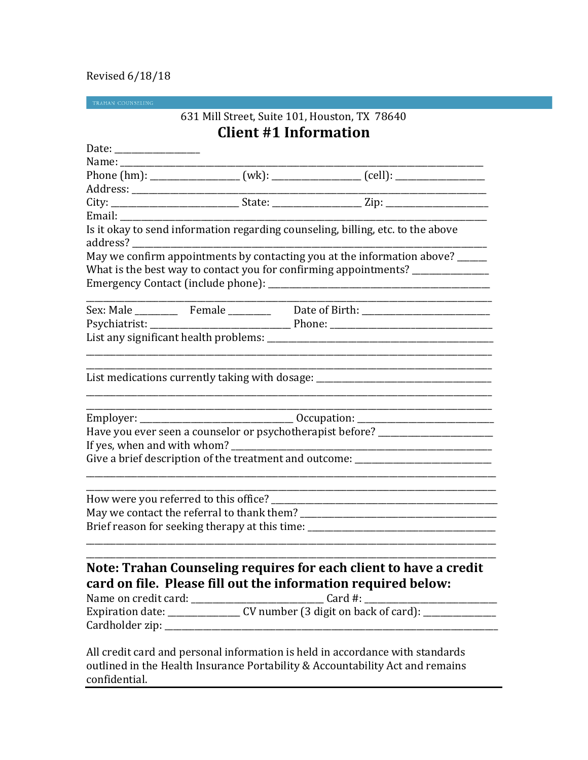## Revised 6/18/18

TRAHAN COUNSELING

 $\overline{a}$ 

# 631 Mill Street, Suite 101, Houston, TX 78640 **Client #1 Information**

|          |                                                               | Phone (hm): ___________________ (wk): ________________ (cell): _________________ |
|----------|---------------------------------------------------------------|----------------------------------------------------------------------------------|
|          |                                                               |                                                                                  |
|          |                                                               |                                                                                  |
|          |                                                               |                                                                                  |
| address? |                                                               | Is it okay to send information regarding counseling, billing, etc. to the above  |
|          |                                                               | May we confirm appointments by contacting you at the information above? _____    |
|          |                                                               | What is the best way to contact you for confirming appointments? ______________  |
|          |                                                               |                                                                                  |
|          |                                                               |                                                                                  |
|          |                                                               |                                                                                  |
|          |                                                               |                                                                                  |
|          |                                                               |                                                                                  |
|          |                                                               |                                                                                  |
|          |                                                               |                                                                                  |
|          |                                                               | List medications currently taking with dosage: _________________________________ |
|          |                                                               |                                                                                  |
|          |                                                               |                                                                                  |
|          |                                                               | Employer: ___________________________________ Occupation: ______________________ |
|          |                                                               | Have you ever seen a counselor or psychotherapist before? ______________________ |
|          |                                                               |                                                                                  |
|          |                                                               | Give a brief description of the treatment and outcome: _________________________ |
|          |                                                               |                                                                                  |
|          |                                                               |                                                                                  |
|          |                                                               |                                                                                  |
|          |                                                               |                                                                                  |
|          |                                                               | Brief reason for seeking therapy at this time: _________________________________ |
|          |                                                               |                                                                                  |
|          |                                                               |                                                                                  |
|          |                                                               | Note: Trahan Counseling requires for each client to have a credit                |
|          |                                                               |                                                                                  |
|          |                                                               |                                                                                  |
|          | card on file. Please fill out the information required below: |                                                                                  |
|          |                                                               |                                                                                  |
|          |                                                               |                                                                                  |

All credit card and personal information is held in accordance with standards outlined in the Health Insurance Portability & Accountability Act and remains confidential.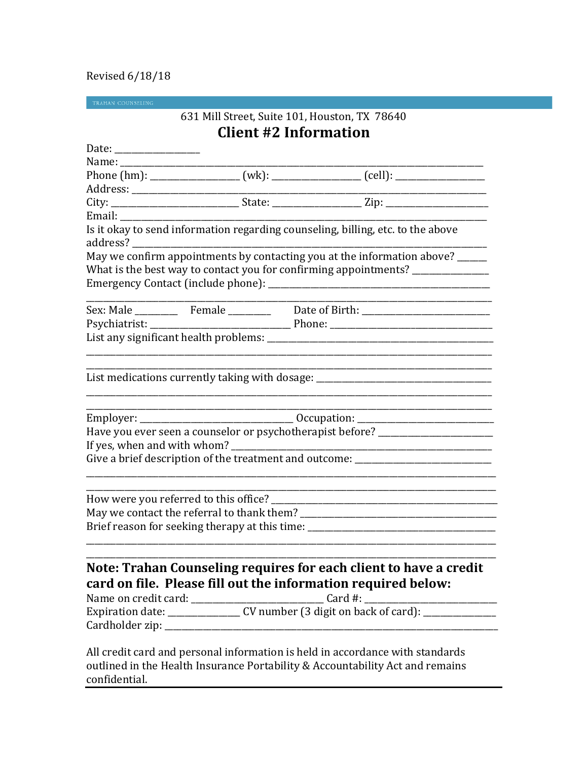## Revised 6/18/18

## 631 Mill Street, Suite 101, Houston, TX 78640 **Client #2 Information**

|        | Phone (hm): ___________________ (wk): ________________ (cell): _________________ |
|--------|----------------------------------------------------------------------------------|
|        |                                                                                  |
|        |                                                                                  |
| Email: |                                                                                  |
|        | Is it okay to send information regarding counseling, billing, etc. to the above  |
|        | May we confirm appointments by contacting you at the information above? _____    |
|        | What is the best way to contact you for confirming appointments? ______________  |
|        |                                                                                  |
|        |                                                                                  |
|        |                                                                                  |
|        |                                                                                  |
|        |                                                                                  |
|        |                                                                                  |
|        |                                                                                  |
|        |                                                                                  |
|        | List medications currently taking with dosage: _________________________________ |
|        |                                                                                  |
|        |                                                                                  |
|        | Employer: ___________________________________ Occupation: ______________________ |
|        | Have you ever seen a counselor or psychotherapist before? ______________________ |
|        |                                                                                  |
|        | Give a brief description of the treatment and outcome: _________________________ |
|        |                                                                                  |
|        |                                                                                  |
|        |                                                                                  |
|        |                                                                                  |
|        | Brief reason for seeking therapy at this time: _________________________________ |
|        |                                                                                  |
|        | Note: Trahan Counseling requires for each client to have a credit                |
|        |                                                                                  |
|        | card on file. Please fill out the information required below:                    |
|        |                                                                                  |

All credit card and personal information is held in accordance with standards outlined in the Health Insurance Portability & Accountability Act and remains confidential.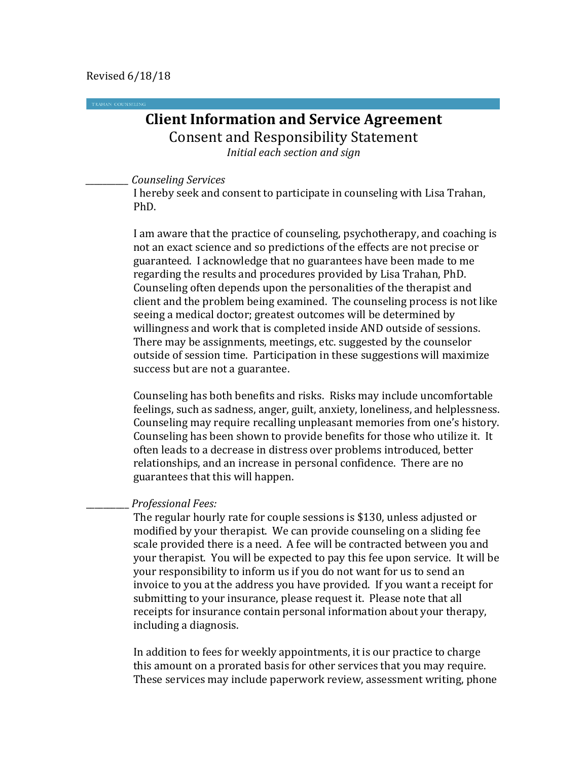## **Client Information and Service Agreement** Consent and Responsibility Statement *Initial each section and sign*

*\_\_\_\_\_\_\_\_\_\_ Counseling Services*

I hereby seek and consent to participate in counseling with Lisa Trahan, PhD.

I am aware that the practice of counseling, psychotherapy, and coaching is not an exact science and so predictions of the effects are not precise or guaranteed. I acknowledge that no guarantees have been made to me regarding the results and procedures provided by Lisa Trahan, PhD. Counseling often depends upon the personalities of the therapist and client and the problem being examined. The counseling process is not like seeing a medical doctor; greatest outcomes will be determined by willingness and work that is completed inside AND outside of sessions. There may be assignments, meetings, etc. suggested by the counselor outside of session time. Participation in these suggestions will maximize success but are not a guarantee.

Counseling has both benefits and risks. Risks may include uncomfortable feelings, such as sadness, anger, guilt, anxiety, loneliness, and helplessness. Counseling may require recalling unpleasant memories from one's history. Counseling has been shown to provide benefits for those who utilize it. It often leads to a decrease in distress over problems introduced, better relationships, and an increase in personal confidence. There are no guarantees that this will happen.

### \_\_\_\_\_\_\_\_\_\_ *Professional Fees:*

The regular hourly rate for couple sessions is \$130, unless adjusted or modified by your therapist. We can provide counseling on a sliding fee scale provided there is a need. A fee will be contracted between you and your therapist. You will be expected to pay this fee upon service. It will be your responsibility to inform us if you do not want for us to send an invoice to you at the address you have provided. If you want a receipt for submitting to your insurance, please request it. Please note that all receipts for insurance contain personal information about your therapy, including a diagnosis.

In addition to fees for weekly appointments, it is our practice to charge this amount on a prorated basis for other services that you may require. These services may include paperwork review, assessment writing, phone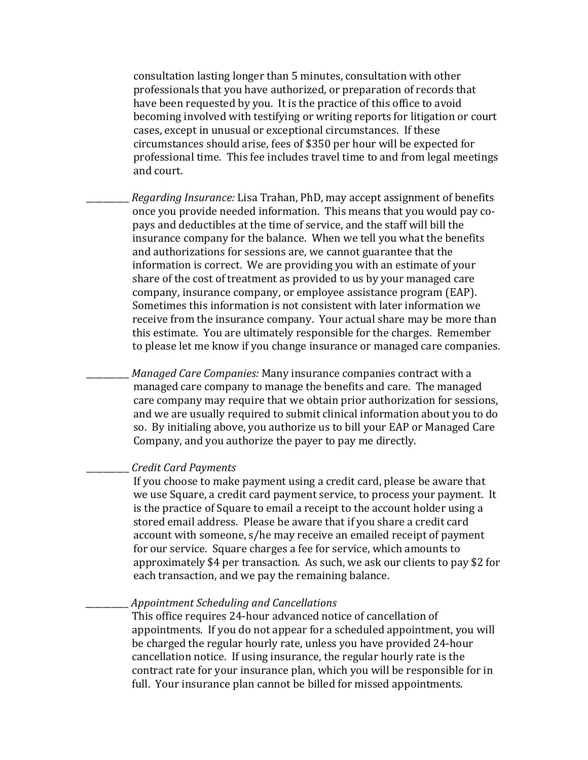consultation lasting longer than 5 minutes, consultation with other professionals that you have authorized, or preparation of records that have been requested by you. It is the practice of this office to avoid becoming involved with testifying or writing reports for litigation or court cases, except in unusual or exceptional circumstances. If these circumstances should arise, fees of \$350 per hour will be expected for professional time. This fee includes travel time to and from legal meetings and court.

\_\_\_\_\_\_\_\_\_\_ *Regarding Insurance:* Lisa Trahan, PhD, may accept assignment of benefits once you provide needed information. This means that you would pay copays and deductibles at the time of service, and the staff will bill the insurance company for the balance. When we tell you what the benefits and authorizations for sessions are, we cannot guarantee that the information is correct. We are providing you with an estimate of your share of the cost of treatment as provided to us by your managed care company, insurance company, or employee assistance program (EAP). Sometimes this information is not consistent with later information we receive from the insurance company. Your actual share may be more than this estimate. You are ultimately responsible for the charges. Remember to please let me know if you change insurance or managed care companies.

\_\_\_\_\_\_\_\_\_\_ *Managed Care Companies:* Many insurance companies contract with a managed care company to manage the benefits and care. The managed care company may require that we obtain prior authorization for sessions, and we are usually required to submit clinical information about you to do so. By initialing above, you authorize us to bill your EAP or Managed Care Company, and you authorize the payer to pay me directly.

#### \_\_\_\_\_\_\_\_\_\_ *Credit Card Payments*

If you choose to make payment using a credit card, please be aware that we use Square, a credit card payment service, to process your payment. It is the practice of Square to email a receipt to the account holder using a stored email address. Please be aware that if you share a credit card account with someone, s/he may receive an emailed receipt of payment for our service. Square charges a fee for service, which amounts to approximately \$4 per transaction. As such, we ask our clients to pay \$2 for each transaction, and we pay the remaining balance.

#### \_\_\_\_\_\_\_\_\_\_ *Appointment Scheduling and Cancellations*

This office requires 24-hour advanced notice of cancellation of appointments. If you do not appear for a scheduled appointment, you will be charged the regular hourly rate, unless you have provided 24-hour cancellation notice. If using insurance, the regular hourly rate is the contract rate for your insurance plan, which you will be responsible for in full. Your insurance plan cannot be billed for missed appointments.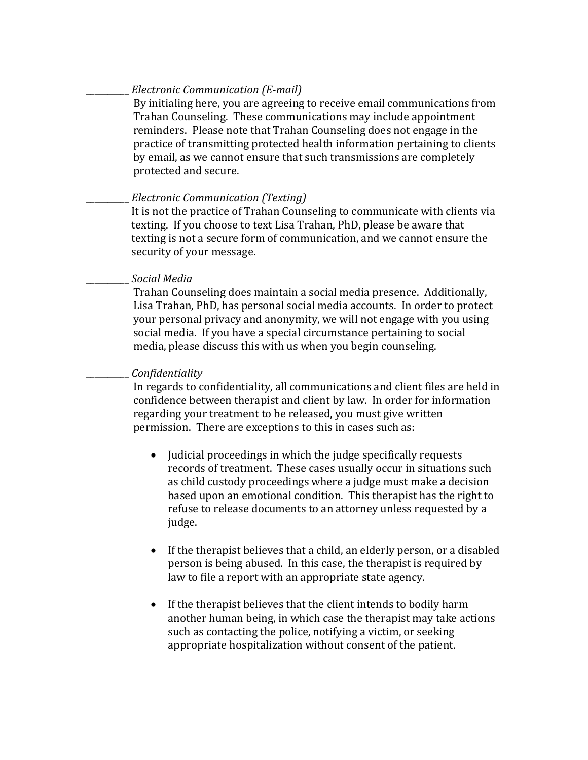## \_\_\_\_\_\_\_\_\_\_ *Electronic Communication (E-mail)*

By initialing here, you are agreeing to receive email communications from Trahan Counseling. These communications may include appointment reminders. Please note that Trahan Counseling does not engage in the practice of transmitting protected health information pertaining to clients by email, as we cannot ensure that such transmissions are completely protected and secure.

## \_\_\_\_\_\_\_\_\_\_ *Electronic Communication (Texting)*

It is not the practice of Trahan Counseling to communicate with clients via texting. If you choose to text Lisa Trahan, PhD, please be aware that texting is not a secure form of communication, and we cannot ensure the security of your message.

### \_\_\_\_\_\_\_\_\_\_ *Social Media*

Trahan Counseling does maintain a social media presence. Additionally, Lisa Trahan, PhD, has personal social media accounts. In order to protect your personal privacy and anonymity, we will not engage with you using social media. If you have a special circumstance pertaining to social media, please discuss this with us when you begin counseling.

### \_\_\_\_\_\_\_\_\_\_ *Confidentiality*

In regards to confidentiality, all communications and client files are held in confidence between therapist and client by law. In order for information regarding your treatment to be released, you must give written permission. There are exceptions to this in cases such as:

- Judicial proceedings in which the judge specifically requests records of treatment. These cases usually occur in situations such as child custody proceedings where a judge must make a decision based upon an emotional condition. This therapist has the right to refuse to release documents to an attorney unless requested by a judge.
- If the therapist believes that a child, an elderly person, or a disabled person is being abused. In this case, the therapist is required by law to file a report with an appropriate state agency.
- If the therapist believes that the client intends to bodily harm another human being, in which case the therapist may take actions such as contacting the police, notifying a victim, or seeking appropriate hospitalization without consent of the patient.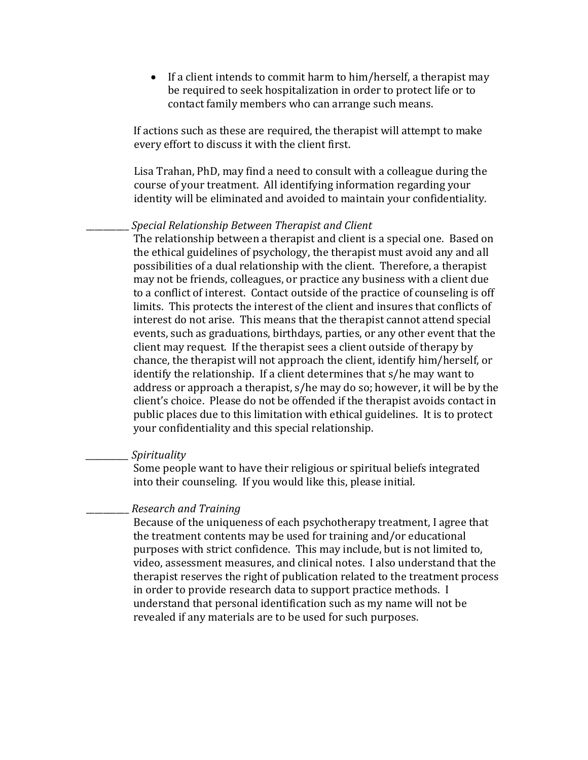• If a client intends to commit harm to him/herself, a therapist may be required to seek hospitalization in order to protect life or to contact family members who can arrange such means.

 If actions such as these are required, the therapist will attempt to make every effort to discuss it with the client first.

Lisa Trahan, PhD, may find a need to consult with a colleague during the course of your treatment. All identifying information regarding your identity will be eliminated and avoided to maintain your confidentiality.

#### \_\_\_\_\_\_\_\_\_\_ *Special Relationship Between Therapist and Client*

The relationship between a therapist and client is a special one. Based on the ethical guidelines of psychology, the therapist must avoid any and all possibilities of a dual relationship with the client. Therefore, a therapist may not be friends, colleagues, or practice any business with a client due to a conflict of interest. Contact outside of the practice of counseling is off limits. This protects the interest of the client and insures that conflicts of interest do not arise. This means that the therapist cannot attend special events, such as graduations, birthdays, parties, or any other event that the client may request. If the therapist sees a client outside of therapy by chance, the therapist will not approach the client, identify him/herself, or identify the relationship. If a client determines that s/he may want to address or approach a therapist, s/he may do so; however, it will be by the client's choice. Please do not be offended if the therapist avoids contact in public places due to this limitation with ethical guidelines. It is to protect your confidentiality and this special relationship.

#### *\_\_\_\_\_\_\_\_\_\_ Spirituality*

Some people want to have their religious or spiritual beliefs integrated into their counseling. If you would like this, please initial.

#### \_\_\_\_\_\_\_\_\_\_ *Research and Training*

Because of the uniqueness of each psychotherapy treatment, I agree that the treatment contents may be used for training and/or educational purposes with strict confidence. This may include, but is not limited to, video, assessment measures, and clinical notes. I also understand that the therapist reserves the right of publication related to the treatment process in order to provide research data to support practice methods. I understand that personal identification such as my name will not be revealed if any materials are to be used for such purposes.